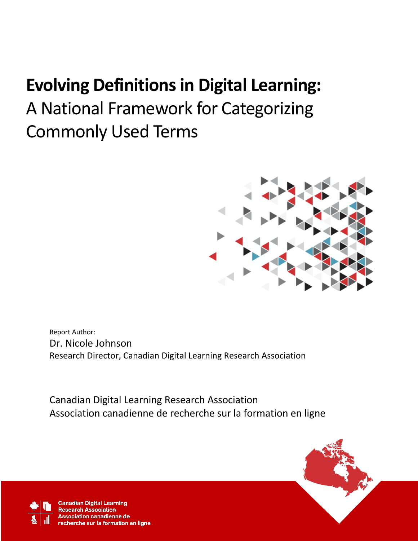# **Evolving Definitions in Digital Learning:**

A National Framework for Categorizing Commonly Used Terms



Report Author: Dr. Nicole Johnson Research Director, Canadian Digital Learning Research Association

Canadian Digital Learning Research Association Association canadienne de recherche sur la formation en ligne



**Canadian Digital Learning Research Association** ciation canadienne de echerche sur la formation en ligne

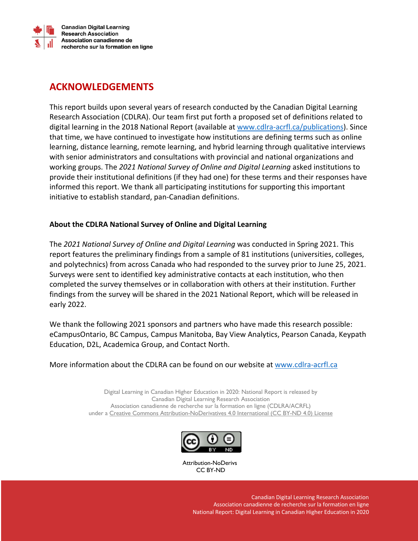

**Canadian Digital Learning Research Association** Association canadienne de recherche sur la formation en ligne

# **ACKNOWLEDGEMENTS**

This report builds upon several years of research conducted by the Canadian Digital Learning Research Association (CDLRA). Our team first put forth a proposed set of definitions related to digital learning in the 2018 National Report (available at www.cdlra-acrfl.ca/publications). Since that time, we have continued to investigate how institutions are defining terms such as online learning, distance learning, remote learning, and hybrid learning through qualitative interviews with senior administrators and consultations with provincial and national organizations and working groups. The *2021 National Survey of Online and Digital Learning* asked institutions to provide their institutional definitions (if they had one) for these terms and their responses have informed this report. We thank all participating institutions for supporting this important initiative to establish standard, pan-Canadian definitions.

#### **About the CDLRA National Survey of Online and Digital Learning**

The *2021 National Survey of Online and Digital Learning* was conducted in Spring 2021. This report features the preliminary findings from a sample of 81 institutions (universities, colleges, and polytechnics) from across Canada who had responded to the survey prior to June 25, 2021. Surveys were sent to identified key administrative contacts at each institution, who then completed the survey themselves or in collaboration with others at their institution. Further findings from the survey will be shared in the 2021 National Report, which will be released in early 2022.

We thank the following 2021 sponsors and partners who have made this research possible: eCampusOntario, BC Campus, Campus Manitoba, Bay View Analytics, Pearson Canada, Keypath Education, D2L, Academica Group, and Contact North.

More information about the CDLRA can be found on our website at www.cdlra-acrfl.ca

Digital Learning in Canadian Higher Education in 2020: National Report is released by Canadian Digital Learning Research Association Association canadienne de recherche sur la formation en ligne (CDLRA/ACRFL) under a Creative Commons Attribution-NoDerivatives 4.0 International (CC BY-ND 4.0) License



Attribution-NoDerivs CC BY-ND

> Canadian Digital Learning Research Association Association canadienne de recherche sur la formation en ligne National Report: Digital Learning in Canadian Higher Education in 2020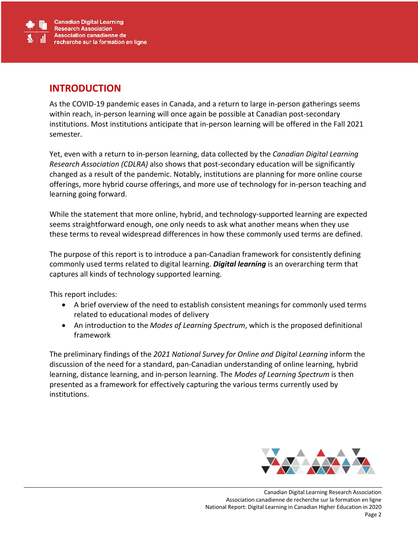

#### **INTRODUCTION**

As the COVID-19 pandemic eases in Canada, and a return to large in-person gatherings seems within reach, in-person learning will once again be possible at Canadian post-secondary institutions. Most institutions anticipate that in-person learning will be offered in the Fall 2021 semester.

Yet, even with a return to in-person learning, data collected by the *Canadian Digital Learning Research Association (CDLRA)* also shows that post-secondary education will be significantly changed as a result of the pandemic. Notably, institutions are planning for more online course offerings, more hybrid course offerings, and more use of technology for in-person teaching and learning going forward.

While the statement that more online, hybrid, and technology-supported learning are expected seems straightforward enough, one only needs to ask what another means when they use these terms to reveal widespread differences in how these commonly used terms are defined.

The purpose of this report is to introduce a pan-Canadian framework for consistently defining commonly used terms related to digital learning. *Digital learning* is an overarching term that captures all kinds of technology supported learning.

This report includes:

- A brief overview of the need to establish consistent meanings for commonly used terms related to educational modes of delivery
- An introduction to the *Modes of Learning Spectrum*, which is the proposed definitional framework

The preliminary findings of the *2021 National Survey for Online and Digital Learning* inform the discussion of the need for a standard, pan-Canadian understanding of online learning, hybrid learning, distance learning, and in-person learning. The *Modes of Learning Spectrum* is then presented as a framework for effectively capturing the various terms currently used by institutions.

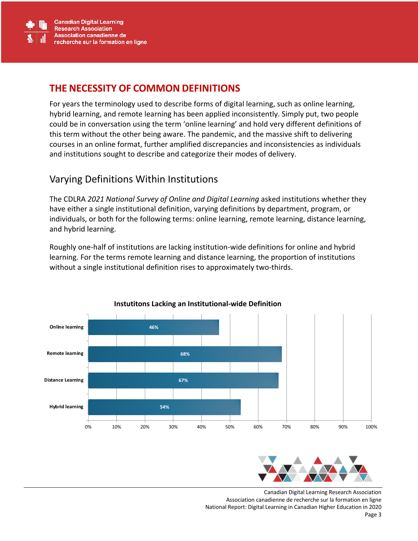

### **THE NECESSITY OF COMMON DEFINITIONS**

For years the terminology used to describe forms of digital learning, such as online learning, hybrid learning, and remote learning has been applied inconsistently. Simply put, two people could be in conversation using the term 'online learning' and hold very different definitions of this term without the other being aware. The pandemic, and the massive shift to delivering courses in an online format, further amplified discrepancies and inconsistencies as individuals and institutions sought to describe and categorize their modes of delivery.

## Varying Definitions Within Institutions

The CDLRA *2021 National Survey of Online and Digital Learning* asked institutions whether they have either a single institutional definition, varying definitions by department, program, or individuals, or both for the following terms: online learning, remote learning, distance learning, and hybrid learning.

Roughly one-half of institutions are lacking institution-wide definitions for online and hybrid learning. For the terms remote learning and distance learning, the proportion of institutions without a single institutional definition rises to approximately two-thirds.



#### **Instutitons Lacking an Institutional-wide Definition**



Canadian Digital Learning Research Association Association canadienne de recherche sur la formation en ligne National Report: Digital Learning in Canadian Higher Education in 2020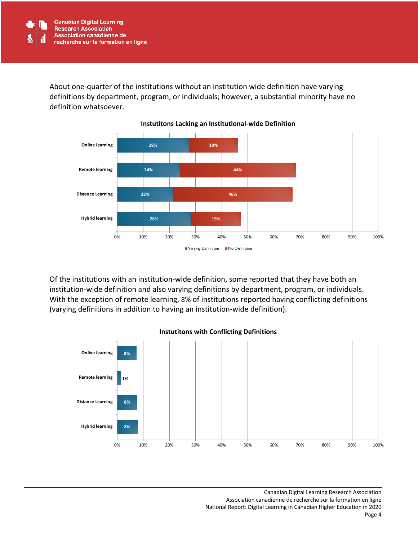

About one-quarter of the institutions without an institution wide definition have varying definitions by department, program, or individuals; however, a substantial minority have no definition whatsoever.



Of the institutions with an institution-wide definition, some reported that they have both an institution-wide definition and also varying definitions by department, program, or individuals. With the exception of remote learning, 8% of institutions reported having conflicting definitions (varying definitions in addition to having an institution-wide definition).



**Instutitons with Conflicting Definitions**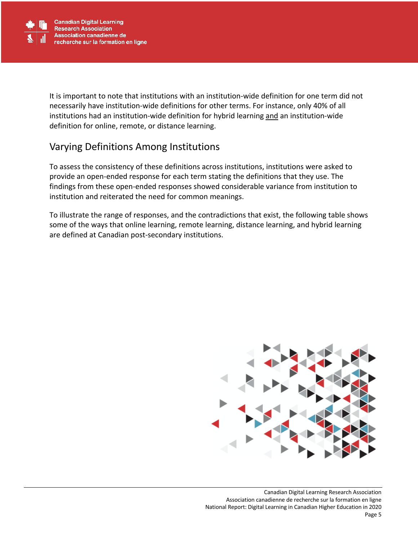

It is important to note that institutions with an institution-wide definition for one term did not necessarily have institution-wide definitions for other terms. For instance, only 40% of all institutions had an institution-wide definition for hybrid learning and an institution-wide definition for online, remote, or distance learning.

# Varying Definitions Among Institutions

To assess the consistency of these definitions across institutions, institutions were asked to provide an open-ended response for each term stating the definitions that they use. The findings from these open-ended responses showed considerable variance from institution to institution and reiterated the need for common meanings.

To illustrate the range of responses, and the contradictions that exist, the following table shows some of the ways that online learning, remote learning, distance learning, and hybrid learning are defined at Canadian post-secondary institutions.

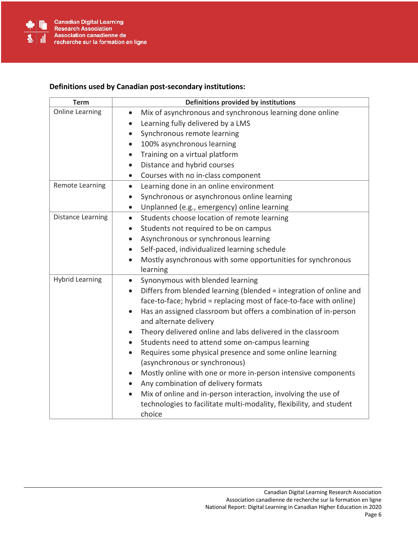

#### **Definitions used by Canadian post-secondary institutions:**

| <b>Term</b>              | Definitions provided by institutions                                                                                                                                                                                                                            |
|--------------------------|-----------------------------------------------------------------------------------------------------------------------------------------------------------------------------------------------------------------------------------------------------------------|
| <b>Online Learning</b>   | Mix of asynchronous and synchronous learning done online<br>$\bullet$                                                                                                                                                                                           |
|                          | Learning fully delivered by a LMS<br>$\bullet$                                                                                                                                                                                                                  |
|                          | Synchronous remote learning<br>$\bullet$                                                                                                                                                                                                                        |
|                          | 100% asynchronous learning<br>$\bullet$                                                                                                                                                                                                                         |
|                          | Training on a virtual platform<br>$\bullet$                                                                                                                                                                                                                     |
|                          | Distance and hybrid courses<br>$\bullet$                                                                                                                                                                                                                        |
|                          | Courses with no in-class component<br>$\bullet$                                                                                                                                                                                                                 |
| Remote Learning          | Learning done in an online environment<br>$\bullet$                                                                                                                                                                                                             |
|                          | Synchronous or asynchronous online learning<br>$\bullet$                                                                                                                                                                                                        |
|                          | Unplanned (e.g., emergency) online learning<br>$\bullet$                                                                                                                                                                                                        |
| <b>Distance Learning</b> | Students choose location of remote learning<br>$\bullet$                                                                                                                                                                                                        |
|                          | Students not required to be on campus<br>$\bullet$                                                                                                                                                                                                              |
|                          | Asynchronous or synchronous learning<br>$\bullet$                                                                                                                                                                                                               |
|                          | Self-paced, individualized learning schedule<br>$\bullet$                                                                                                                                                                                                       |
|                          | Mostly asynchronous with some opportunities for synchronous<br>$\bullet$<br>learning                                                                                                                                                                            |
| <b>Hybrid Learning</b>   | Synonymous with blended learning<br>$\bullet$                                                                                                                                                                                                                   |
|                          | Differs from blended learning (blended = integration of online and<br>$\bullet$<br>face-to-face; hybrid = replacing most of face-to-face with online)<br>Has an assigned classroom but offers a combination of in-person<br>$\bullet$<br>and alternate delivery |
|                          | Theory delivered online and labs delivered in the classroom<br>$\bullet$                                                                                                                                                                                        |
|                          | Students need to attend some on-campus learning<br>$\bullet$                                                                                                                                                                                                    |
|                          | Requires some physical presence and some online learning<br>$\bullet$<br>(asynchronous or synchronous)                                                                                                                                                          |
|                          | Mostly online with one or more in-person intensive components<br>$\bullet$<br>Any combination of delivery formats<br>$\bullet$                                                                                                                                  |
|                          | Mix of online and in-person interaction, involving the use of<br>technologies to facilitate multi-modality, flexibility, and student<br>choice                                                                                                                  |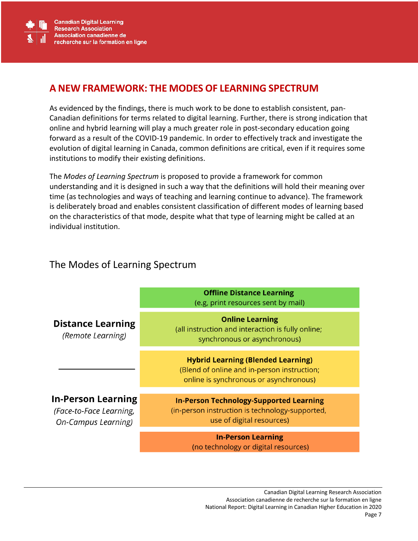

## **A NEW FRAMEWORK: THE MODES OF LEARNING SPECTRUM**

As evidenced by the findings, there is much work to be done to establish consistent, pan-Canadian definitions for terms related to digital learning. Further, there is strong indication that online and hybrid learning will play a much greater role in post-secondary education going forward as a result of the COVID-19 pandemic. In order to effectively track and investigate the evolution of digital learning in Canada, common definitions are critical, even if it requires some institutions to modify their existing definitions.

The *Modes of Learning Spectrum* is proposed to provide a framework for common understanding and it is designed in such a way that the definitions will hold their meaning over time (as technologies and ways of teaching and learning continue to advance). The framework is deliberately broad and enables consistent classification of different modes of learning based on the characteristics of that mode, despite what that type of learning might be called at an individual institution.

# The Modes of Learning Spectrum

|                                                                             | <b>Offline Distance Learning</b><br>(e.g, print resources sent by mail)                                                            |
|-----------------------------------------------------------------------------|------------------------------------------------------------------------------------------------------------------------------------|
| <b>Distance Learning</b><br>(Remote Learning)                               | <b>Online Learning</b><br>(all instruction and interaction is fully online;<br>synchronous or asynchronous)                        |
|                                                                             | <b>Hybrid Learning (Blended Learning)</b><br>(Blend of online and in-person instruction;<br>online is synchronous or asynchronous) |
| In-Person Learning<br>(Face-to-Face Learning,<br><b>On-Campus Learning)</b> | <b>In-Person Technology-Supported Learning</b><br>(in-person instruction is technology-supported,<br>use of digital resources)     |
|                                                                             | <b>In-Person Learning</b><br>(no technology or digital resources)                                                                  |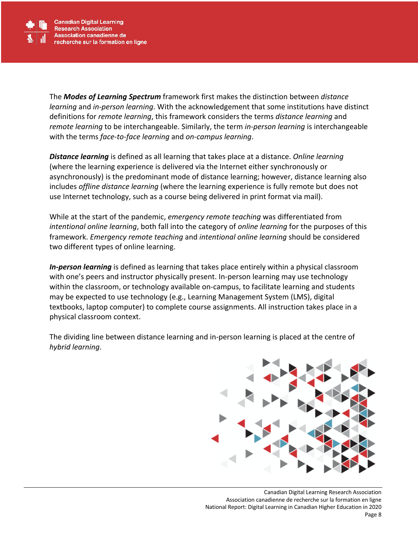

The *Modes of Learning Spectrum* framework first makes the distinction between *distance learning* and *in-person learning*. With the acknowledgement that some institutions have distinct definitions for *remote learning*, this framework considers the terms *distance learning* and *remote learning* to be interchangeable. Similarly, the term *in-person learning* is interchangeable with the terms *face-to-face learning* and *on-campus learning*.

*Distance learning* is defined as all learning that takes place at a distance. *Online learning* (where the learning experience is delivered via the Internet either synchronously or asynchronously) is the predominant mode of distance learning; however, distance learning also includes *offline distance learning* (where the learning experience is fully remote but does not use Internet technology, such as a course being delivered in print format via mail).

While at the start of the pandemic, *emergency remote teaching* was differentiated from *intentional online learning*, both fall into the category of *online learning* for the purposes of this framework. *Emergency remote teaching* and *intentional online learning* should be considered two different types of online learning.

*In-person learning* is defined as learning that takes place entirely within a physical classroom with one's peers and instructor physically present. In-person learning may use technology within the classroom, or technology available on-campus, to facilitate learning and students may be expected to use technology (e.g., Learning Management System (LMS), digital textbooks, laptop computer) to complete course assignments. All instruction takes place in a physical classroom context.

The dividing line between distance learning and in-person learning is placed at the centre of *hybrid learning*.

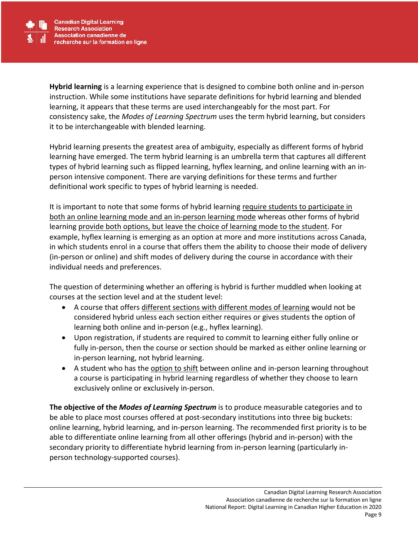

**Hybrid learning** is a learning experience that is designed to combine both online and in-person instruction. While some institutions have separate definitions for hybrid learning and blended learning, it appears that these terms are used interchangeably for the most part. For consistency sake, the *Modes of Learning Spectrum* uses the term hybrid learning, but considers it to be interchangeable with blended learning.

Hybrid learning presents the greatest area of ambiguity, especially as different forms of hybrid learning have emerged. The term hybrid learning is an umbrella term that captures all different types of hybrid learning such as flipped learning, hyflex learning, and online learning with an inperson intensive component. There are varying definitions for these terms and further definitional work specific to types of hybrid learning is needed.

It is important to note that some forms of hybrid learning require students to participate in both an online learning mode and an in-person learning mode whereas other forms of hybrid learning provide both options, but leave the choice of learning mode to the student. For example, hyflex learning is emerging as an option at more and more institutions across Canada, in which students enrol in a course that offers them the ability to choose their mode of delivery (in-person or online) and shift modes of delivery during the course in accordance with their individual needs and preferences.

The question of determining whether an offering is hybrid is further muddled when looking at courses at the section level and at the student level:

- A course that offers different sections with different modes of learning would not be considered hybrid unless each section either requires or gives students the option of learning both online and in-person (e.g., hyflex learning).
- Upon registration, if students are required to commit to learning either fully online or fully in-person, then the course or section should be marked as either online learning or in-person learning, not hybrid learning.
- A student who has the option to shift between online and in-person learning throughout a course is participating in hybrid learning regardless of whether they choose to learn exclusively online or exclusively in-person.

**The objective of the** *Modes of Learning Spectrum* is to produce measurable categories and to be able to place most courses offered at post-secondary institutions into three big buckets: online learning, hybrid learning, and in-person learning. The recommended first priority is to be able to differentiate online learning from all other offerings (hybrid and in-person) with the secondary priority to differentiate hybrid learning from in-person learning (particularly inperson technology-supported courses).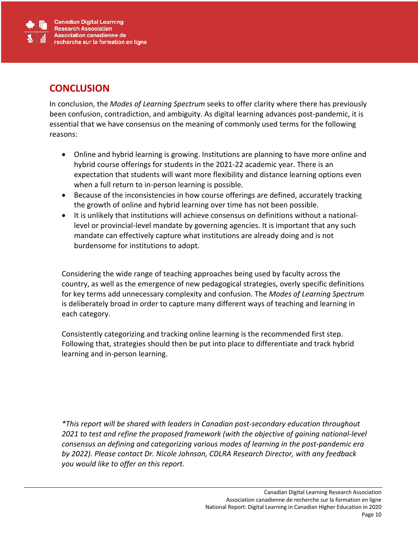

#### **CONCLUSION**

In conclusion, the *Modes of Learning Spectrum* seeks to offer clarity where there has previously been confusion, contradiction, and ambiguity. As digital learning advances post-pandemic, it is essential that we have consensus on the meaning of commonly used terms for the following reasons:

- Online and hybrid learning is growing. Institutions are planning to have more online and hybrid course offerings for students in the 2021-22 academic year. There is an expectation that students will want more flexibility and distance learning options even when a full return to in-person learning is possible.
- Because of the inconsistencies in how course offerings are defined, accurately tracking the growth of online and hybrid learning over time has not been possible.
- It is unlikely that institutions will achieve consensus on definitions without a nationallevel or provincial-level mandate by governing agencies. It is important that any such mandate can effectively capture what institutions are already doing and is not burdensome for institutions to adopt.

Considering the wide range of teaching approaches being used by faculty across the country, as well as the emergence of new pedagogical strategies, overly specific definitions for key terms add unnecessary complexity and confusion. The *Modes of Learning Spectrum* is deliberately broad in order to capture many different ways of teaching and learning in each category.

Consistently categorizing and tracking online learning is the recommended first step. Following that, strategies should then be put into place to differentiate and track hybrid learning and in-person learning.

*\*This report will be shared with leaders in Canadian post-secondary education throughout 2021 to test and refine the proposed framework (with the objective of gaining national-level consensus on defining and categorizing various modes of learning in the post-pandemic era by 2022). Please contact Dr. Nicole Johnson, CDLRA Research Director, with any feedback you would like to offer on this report.*